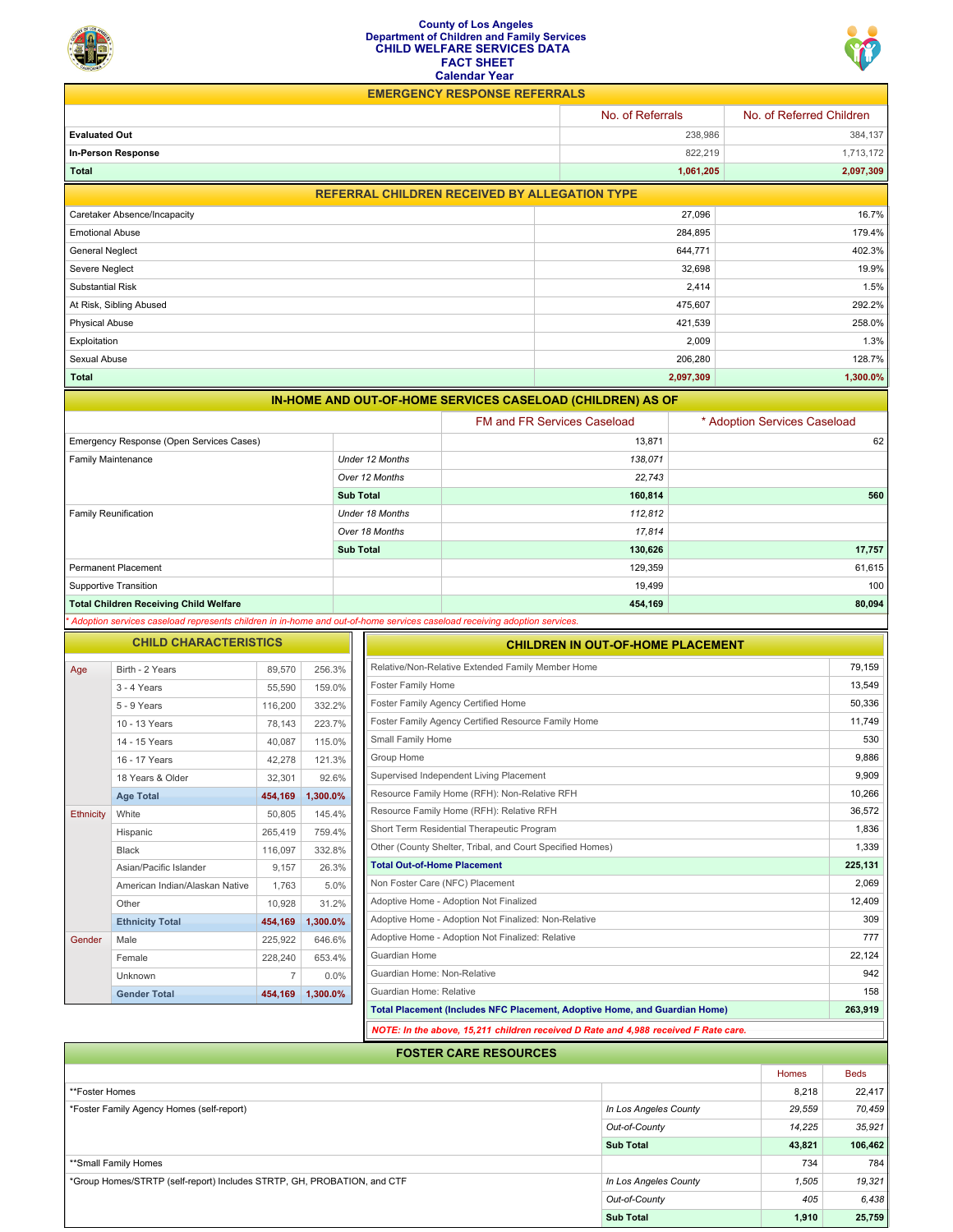## **County of Los Angeles Department of Children and Family Services CHILD WELFARE SERVICES DATA FACT SHEET Calendar Year**



**EMERGENCY RESPONSE REFERRALS**

|                                                            | No. of Referrals | No. of Referred Children |  |  |  |
|------------------------------------------------------------|------------------|--------------------------|--|--|--|
| <b>Evaluated Out</b>                                       | 238,986          | 384,137                  |  |  |  |
| In-Person Response                                         | 822,219          | 1,713,172                |  |  |  |
| Total                                                      | 1,061,205        | 2,097,309                |  |  |  |
| <b>REFERRAL CHILDREN RECEIVED BY ALLEGATION TYPE</b>       |                  |                          |  |  |  |
| Caretaker Absence/Incapacity                               | 27,096           | 16.7%                    |  |  |  |
| <b>Emotional Abuse</b>                                     | 284,895          | 179.4%                   |  |  |  |
| <b>General Neglect</b>                                     | 644,771          | 402.3%                   |  |  |  |
| Severe Neglect                                             | 32,698           | 19.9%                    |  |  |  |
| Substantial Risk                                           | 2,414            | 1.5%                     |  |  |  |
| At Risk, Sibling Abused                                    | 475,607          | 292.2%                   |  |  |  |
| <b>Physical Abuse</b>                                      | 421,539          | 258.0%                   |  |  |  |
| Exploitation                                               | 2,009            | 1.3%                     |  |  |  |
| Sexual Abuse                                               | 206,280          | 128.7%                   |  |  |  |
| <b>Total</b>                                               | 2,097,309        | 1,300.0%                 |  |  |  |
| IN-HOME AND OUT-OF-HOME SERVICES CASELOAD (CHILDREN) AS OF |                  |                          |  |  |  |

|                                               |                        | <b>FM and FR Services Caseload</b> | * Adoption Services Caseload |
|-----------------------------------------------|------------------------|------------------------------------|------------------------------|
| Emergency Response (Open Services Cases)      |                        | 13,871                             | 62                           |
| Family Maintenance                            | Under 12 Months        | 138,071                            |                              |
|                                               | Over 12 Months         | 22,743                             |                              |
|                                               | <b>Sub Total</b>       | 160,814                            | 560                          |
| Family Reunification                          | <b>Under 18 Months</b> | 112,812                            |                              |
|                                               | Over 18 Months         | 17,814                             |                              |
|                                               | <b>Sub Total</b>       | 130,626                            | 17,757                       |
| <b>Permanent Placement</b>                    |                        | 129,359                            | 61,615                       |
| Supportive Transition                         |                        | 19,499                             | 100                          |
| <b>Total Children Receiving Child Welfare</b> |                        | 454,169                            | 80,094                       |

| <b>CHILD CHARACTERISTICS</b> |                                |                |          |
|------------------------------|--------------------------------|----------------|----------|
| Age                          | Birth - 2 Years                | 89,570         | 256.3%   |
|                              | 3 - 4 Years                    | 55,590         | 159.0%   |
|                              | 5 - 9 Years                    | 116,200        | 332.2%   |
|                              | 10 - 13 Years                  | 78.143         | 223.7%   |
|                              | 14 - 15 Years                  | 40,087         | 115.0%   |
|                              | 16 - 17 Years                  | 42,278         | 121.3%   |
|                              | 18 Years & Older               | 32,301         | 92.6%    |
|                              | <b>Age Total</b>               | 454,169        | 1,300.0% |
| <b>Ethnicity</b>             | White                          | 50,805         | 145.4%   |
|                              | Hispanic                       | 265.419        | 759.4%   |
|                              | <b>Black</b>                   | 116,097        | 332.8%   |
|                              | Asian/Pacific Islander         | 9,157          | 26.3%    |
|                              | American Indian/Alaskan Native | 1.763          | 5.0%     |
|                              | Other                          | 10,928         | 31.2%    |
|                              | <b>Ethnicity Total</b>         | 454,169        | 1,300.0% |
| Gender                       | Male                           | 225,922        | 646.6%   |
|                              | Female                         | 228,240        | 653.4%   |
|                              | Unknown                        | $\overline{7}$ | 0.0%     |
|                              | <b>Gender Total</b>            | 454,169        | 1,300.0% |

| <b>CHILDREN IN OUT-OF-HOME PLACEMENT</b>                                            |         |
|-------------------------------------------------------------------------------------|---------|
| Relative/Non-Relative Extended Family Member Home                                   | 79,159  |
| <b>Foster Family Home</b>                                                           | 13,549  |
| Foster Family Agency Certified Home                                                 | 50.336  |
| Foster Family Agency Certified Resource Family Home                                 | 11,749  |
| Small Family Home                                                                   | 530     |
| Group Home                                                                          | 9.886   |
| Supervised Independent Living Placement                                             | 9,909   |
| Resource Family Home (RFH): Non-Relative RFH                                        | 10,266  |
| Resource Family Home (RFH): Relative RFH                                            | 36.572  |
| Short Term Residential Therapeutic Program                                          | 1,836   |
| Other (County Shelter, Tribal, and Court Specified Homes)                           | 1,339   |
| <b>Total Out-of-Home Placement</b>                                                  | 225,131 |
| Non Foster Care (NFC) Placement                                                     | 2.069   |
| Adoptive Home - Adoption Not Finalized                                              | 12,409  |
| Adoptive Home - Adoption Not Finalized: Non-Relative                                | 309     |
| Adoptive Home - Adoption Not Finalized: Relative                                    | 777     |
| Guardian Home                                                                       | 22,124  |
| Guardian Home: Non-Relative                                                         | 942     |
| Guardian Home: Relative                                                             | 158     |
| Total Placement (Includes NFC Placement, Adoptive Home, and Guardian Home)          | 263,919 |
| NOTE: In the above, 15,211 children received D Rate and 4,988 received F Rate care. |         |

| <b>FOSTER CARE RESOURCES</b>                                            |                       |        |             |  |
|-------------------------------------------------------------------------|-----------------------|--------|-------------|--|
|                                                                         |                       | Homes  | <b>Beds</b> |  |
| **Foster Homes                                                          |                       | 8,218  | 22,417      |  |
| *Foster Family Agency Homes (self-report)                               | In Los Angeles County | 29,559 | 70,459      |  |
|                                                                         | Out-of-County         | 14,225 | 35,921      |  |
|                                                                         | <b>Sub Total</b>      | 43,821 | 106,462     |  |
| **Small Family Homes                                                    |                       | 734    | 784         |  |
| *Group Homes/STRTP (self-report) Includes STRTP, GH, PROBATION, and CTF | In Los Angeles County | 1,505  | 19,321      |  |
|                                                                         | Out-of-County         | 405    | 6,438       |  |
|                                                                         | <b>Sub Total</b>      | 1,910  | 25,759      |  |